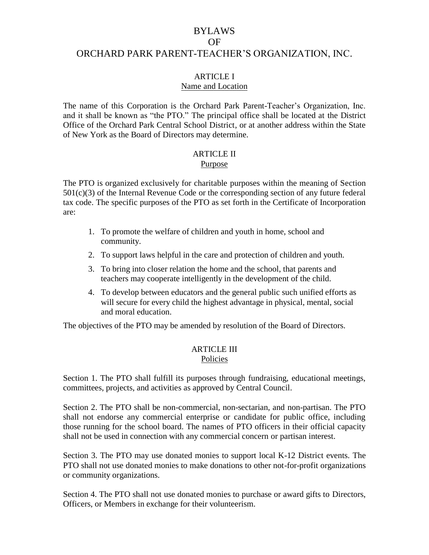# BYLAWS OF ORCHARD PARK PARENT-TEACHER'S ORGANIZATION, INC.

### ARTICLE I

#### Name and Location

The name of this Corporation is the Orchard Park Parent-Teacher's Organization, Inc. and it shall be known as "the PTO." The principal office shall be located at the District Office of the Orchard Park Central School District, or at another address within the State of New York as the Board of Directors may determine.

# **ARTICLE II**

#### Purpose

The PTO is organized exclusively for charitable purposes within the meaning of Section  $501(c)(3)$  of the Internal Revenue Code or the corresponding section of any future federal tax code. The specific purposes of the PTO as set forth in the Certificate of Incorporation are:

- 1. To promote the welfare of children and youth in home, school and community.
- 2. To support laws helpful in the care and protection of children and youth.
- 3. To bring into closer relation the home and the school, that parents and teachers may cooperate intelligently in the development of the child.
- 4. To develop between educators and the general public such unified efforts as will secure for every child the highest advantage in physical, mental, social and moral education.

The objectives of the PTO may be amended by resolution of the Board of Directors.

#### ARTICLE III Policies

Section 1. The PTO shall fulfill its purposes through fundraising, educational meetings, committees, projects, and activities as approved by Central Council.

Section 2. The PTO shall be non-commercial, non-sectarian, and non-partisan. The PTO shall not endorse any commercial enterprise or candidate for public office, including those running for the school board. The names of PTO officers in their official capacity shall not be used in connection with any commercial concern or partisan interest.

Section 3. The PTO may use donated monies to support local K-12 District events. The PTO shall not use donated monies to make donations to other not-for-profit organizations or community organizations.

Section 4. The PTO shall not use donated monies to purchase or award gifts to Directors, Officers, or Members in exchange for their volunteerism.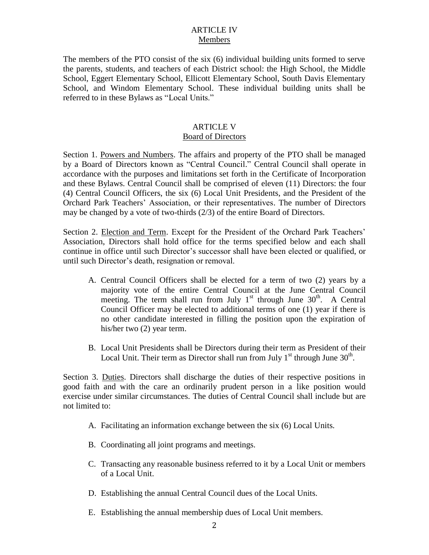## ARTICLE IV Members

The members of the PTO consist of the six (6) individual building units formed to serve the parents, students, and teachers of each District school: the High School, the Middle School, Eggert Elementary School, Ellicott Elementary School, South Davis Elementary School, and Windom Elementary School. These individual building units shall be referred to in these Bylaws as "Local Units."

#### ARTICLE V Board of Directors

Section 1. Powers and Numbers. The affairs and property of the PTO shall be managed by a Board of Directors known as "Central Council." Central Council shall operate in accordance with the purposes and limitations set forth in the Certificate of Incorporation and these Bylaws. Central Council shall be comprised of eleven (11) Directors: the four (4) Central Council Officers, the six (6) Local Unit Presidents, and the President of the Orchard Park Teachers' Association, or their representatives. The number of Directors may be changed by a vote of two-thirds (2/3) of the entire Board of Directors.

Section 2. Election and Term. Except for the President of the Orchard Park Teachers' Association, Directors shall hold office for the terms specified below and each shall continue in office until such Director's successor shall have been elected or qualified, or until such Director's death, resignation or removal.

- A. Central Council Officers shall be elected for a term of two (2) years by a majority vote of the entire Central Council at the June Central Council meeting. The term shall run from July  $1<sup>st</sup>$  through June  $30<sup>th</sup>$ . A Central Council Officer may be elected to additional terms of one (1) year if there is no other candidate interested in filling the position upon the expiration of his/her two (2) year term.
- B. Local Unit Presidents shall be Directors during their term as President of their Local Unit. Their term as Director shall run from July  $1<sup>st</sup>$  through June  $30<sup>th</sup>$ .

Section 3. Duties. Directors shall discharge the duties of their respective positions in good faith and with the care an ordinarily prudent person in a like position would exercise under similar circumstances. The duties of Central Council shall include but are not limited to:

- A. Facilitating an information exchange between the six (6) Local Units.
- B. Coordinating all joint programs and meetings.
- C. Transacting any reasonable business referred to it by a Local Unit or members of a Local Unit.
- D. Establishing the annual Central Council dues of the Local Units.
- E. Establishing the annual membership dues of Local Unit members.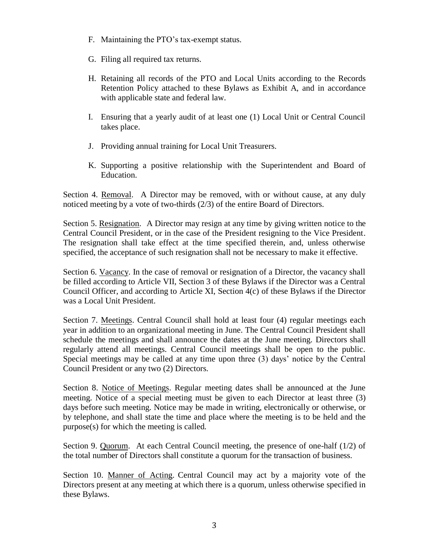- F. Maintaining the PTO's tax-exempt status.
- G. Filing all required tax returns.
- H. Retaining all records of the PTO and Local Units according to the Records Retention Policy attached to these Bylaws as Exhibit A, and in accordance with applicable state and federal law.
- I. Ensuring that a yearly audit of at least one (1) Local Unit or Central Council takes place.
- J. Providing annual training for Local Unit Treasurers.
- K. Supporting a positive relationship with the Superintendent and Board of Education.

Section 4. Removal. A Director may be removed, with or without cause, at any duly noticed meeting by a vote of two-thirds (2/3) of the entire Board of Directors.

Section 5. Resignation. A Director may resign at any time by giving written notice to the Central Council President, or in the case of the President resigning to the Vice President. The resignation shall take effect at the time specified therein, and, unless otherwise specified, the acceptance of such resignation shall not be necessary to make it effective.

Section 6. Vacancy. In the case of removal or resignation of a Director, the vacancy shall be filled according to Article VII, Section 3 of these Bylaws if the Director was a Central Council Officer, and according to Article XI, Section 4(c) of these Bylaws if the Director was a Local Unit President.

Section 7. Meetings. Central Council shall hold at least four (4) regular meetings each year in addition to an organizational meeting in June. The Central Council President shall schedule the meetings and shall announce the dates at the June meeting. Directors shall regularly attend all meetings. Central Council meetings shall be open to the public. Special meetings may be called at any time upon three (3) days' notice by the Central Council President or any two (2) Directors.

Section 8. Notice of Meetings. Regular meeting dates shall be announced at the June meeting. Notice of a special meeting must be given to each Director at least three (3) days before such meeting. Notice may be made in writing, electronically or otherwise, or by telephone, and shall state the time and place where the meeting is to be held and the purpose(s) for which the meeting is called.

Section 9. Quorum. At each Central Council meeting, the presence of one-half (1/2) of the total number of Directors shall constitute a quorum for the transaction of business.

Section 10. Manner of Acting. Central Council may act by a majority vote of the Directors present at any meeting at which there is a quorum, unless otherwise specified in these Bylaws.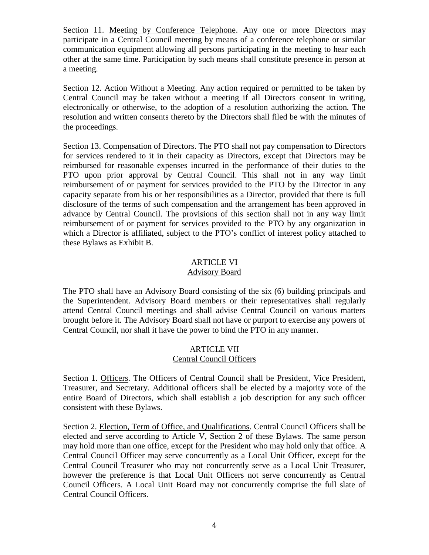Section 11. Meeting by Conference Telephone. Any one or more Directors may participate in a Central Council meeting by means of a conference telephone or similar communication equipment allowing all persons participating in the meeting to hear each other at the same time. Participation by such means shall constitute presence in person at a meeting.

Section 12. Action Without a Meeting. Any action required or permitted to be taken by Central Council may be taken without a meeting if all Directors consent in writing, electronically or otherwise, to the adoption of a resolution authorizing the action. The resolution and written consents thereto by the Directors shall filed be with the minutes of the proceedings.

Section 13. Compensation of Directors. The PTO shall not pay compensation to Directors for services rendered to it in their capacity as Directors, except that Directors may be reimbursed for reasonable expenses incurred in the performance of their duties to the PTO upon prior approval by Central Council. This shall not in any way limit reimbursement of or payment for services provided to the PTO by the Director in any capacity separate from his or her responsibilities as a Director, provided that there is full disclosure of the terms of such compensation and the arrangement has been approved in advance by Central Council. The provisions of this section shall not in any way limit reimbursement of or payment for services provided to the PTO by any organization in which a Director is affiliated, subject to the PTO's conflict of interest policy attached to these Bylaws as Exhibit B.

## ARTICLE VI

#### Advisory Board

The PTO shall have an Advisory Board consisting of the six (6) building principals and the Superintendent. Advisory Board members or their representatives shall regularly attend Central Council meetings and shall advise Central Council on various matters brought before it. The Advisory Board shall not have or purport to exercise any powers of Central Council, nor shall it have the power to bind the PTO in any manner.

#### ARTICLE VII Central Council Officers

Section 1. Officers. The Officers of Central Council shall be President, Vice President, Treasurer, and Secretary. Additional officers shall be elected by a majority vote of the entire Board of Directors, which shall establish a job description for any such officer consistent with these Bylaws.

Section 2. Election, Term of Office, and Qualifications. Central Council Officers shall be elected and serve according to Article V, Section 2 of these Bylaws. The same person may hold more than one office, except for the President who may hold only that office. A Central Council Officer may serve concurrently as a Local Unit Officer, except for the Central Council Treasurer who may not concurrently serve as a Local Unit Treasurer, however the preference is that Local Unit Officers not serve concurrently as Central Council Officers. A Local Unit Board may not concurrently comprise the full slate of Central Council Officers.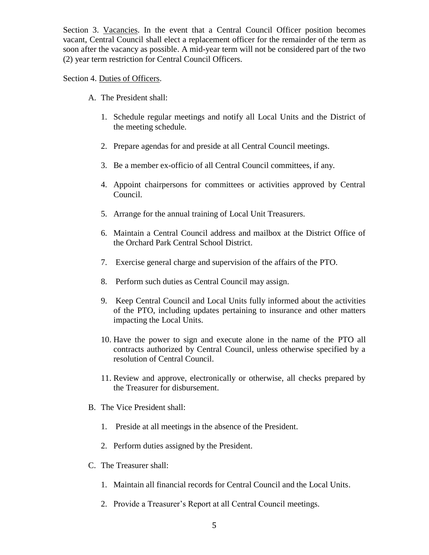Section 3. Vacancies. In the event that a Central Council Officer position becomes vacant, Central Council shall elect a replacement officer for the remainder of the term as soon after the vacancy as possible. A mid-year term will not be considered part of the two (2) year term restriction for Central Council Officers.

#### Section 4. Duties of Officers.

- A. The President shall:
	- 1. Schedule regular meetings and notify all Local Units and the District of the meeting schedule.
	- 2. Prepare agendas for and preside at all Central Council meetings.
	- 3. Be a member ex-officio of all Central Council committees, if any.
	- 4. Appoint chairpersons for committees or activities approved by Central Council.
	- 5. Arrange for the annual training of Local Unit Treasurers.
	- 6. Maintain a Central Council address and mailbox at the District Office of the Orchard Park Central School District.
	- 7. Exercise general charge and supervision of the affairs of the PTO.
	- 8. Perform such duties as Central Council may assign.
	- 9. Keep Central Council and Local Units fully informed about the activities of the PTO, including updates pertaining to insurance and other matters impacting the Local Units.
	- 10. Have the power to sign and execute alone in the name of the PTO all contracts authorized by Central Council, unless otherwise specified by a resolution of Central Council.
	- 11. Review and approve, electronically or otherwise, all checks prepared by the Treasurer for disbursement.
- B. The Vice President shall:
	- 1. Preside at all meetings in the absence of the President.
	- 2. Perform duties assigned by the President.
- C. The Treasurer shall:
	- 1. Maintain all financial records for Central Council and the Local Units.
	- 2. Provide a Treasurer's Report at all Central Council meetings.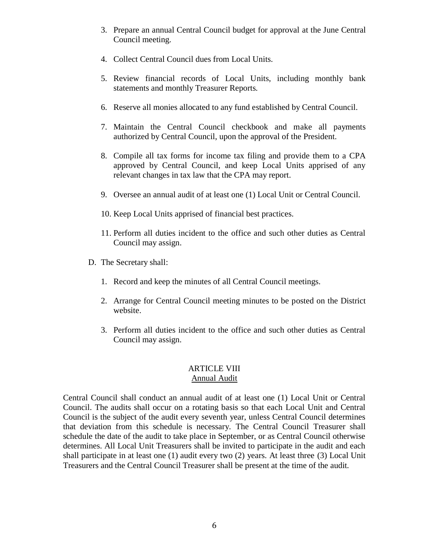- 3. Prepare an annual Central Council budget for approval at the June Central Council meeting.
- 4. Collect Central Council dues from Local Units.
- 5. Review financial records of Local Units, including monthly bank statements and monthly Treasurer Reports.
- 6. Reserve all monies allocated to any fund established by Central Council.
- 7. Maintain the Central Council checkbook and make all payments authorized by Central Council, upon the approval of the President.
- 8. Compile all tax forms for income tax filing and provide them to a CPA approved by Central Council, and keep Local Units apprised of any relevant changes in tax law that the CPA may report.
- 9. Oversee an annual audit of at least one (1) Local Unit or Central Council.
- 10. Keep Local Units apprised of financial best practices.
- 11. Perform all duties incident to the office and such other duties as Central Council may assign.
- D. The Secretary shall:
	- 1. Record and keep the minutes of all Central Council meetings.
	- 2. Arrange for Central Council meeting minutes to be posted on the District website.
	- 3. Perform all duties incident to the office and such other duties as Central Council may assign.

#### ARTICLE VIII Annual Audit

Central Council shall conduct an annual audit of at least one (1) Local Unit or Central Council. The audits shall occur on a rotating basis so that each Local Unit and Central Council is the subject of the audit every seventh year, unless Central Council determines that deviation from this schedule is necessary. The Central Council Treasurer shall schedule the date of the audit to take place in September, or as Central Council otherwise determines. All Local Unit Treasurers shall be invited to participate in the audit and each shall participate in at least one (1) audit every two (2) years. At least three (3) Local Unit Treasurers and the Central Council Treasurer shall be present at the time of the audit.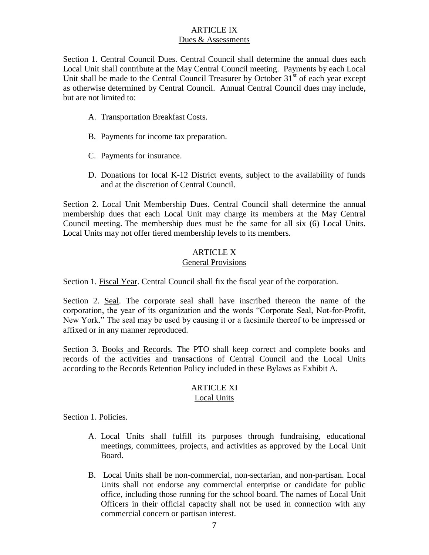## ARTICLE IX Dues & Assessments

Section 1. Central Council Dues. Central Council shall determine the annual dues each Local Unit shall contribute at the May Central Council meeting. Payments by each Local Unit shall be made to the Central Council Treasurer by October  $31<sup>st</sup>$  of each year except as otherwise determined by Central Council. Annual Central Council dues may include, but are not limited to:

- A. Transportation Breakfast Costs.
- B. Payments for income tax preparation.
- C. Payments for insurance.
- D. Donations for local K-12 District events, subject to the availability of funds and at the discretion of Central Council.

Section 2. Local Unit Membership Dues. Central Council shall determine the annual membership dues that each Local Unit may charge its members at the May Central Council meeting. The membership dues must be the same for all six (6) Local Units. Local Units may not offer tiered membership levels to its members.

### ARTICLE X General Provisions

Section 1. Fiscal Year. Central Council shall fix the fiscal year of the corporation.

Section 2. Seal. The corporate seal shall have inscribed thereon the name of the corporation, the year of its organization and the words "Corporate Seal, Not-for-Profit, New York." The seal may be used by causing it or a facsimile thereof to be impressed or affixed or in any manner reproduced.

Section 3. Books and Records. The PTO shall keep correct and complete books and records of the activities and transactions of Central Council and the Local Units according to the Records Retention Policy included in these Bylaws as Exhibit A.

# ARTICLE XI

### Local Units

Section 1. Policies.

- A. Local Units shall fulfill its purposes through fundraising, educational meetings, committees, projects, and activities as approved by the Local Unit Board.
- B. Local Units shall be non-commercial, non-sectarian, and non-partisan. Local Units shall not endorse any commercial enterprise or candidate for public office, including those running for the school board. The names of Local Unit Officers in their official capacity shall not be used in connection with any commercial concern or partisan interest.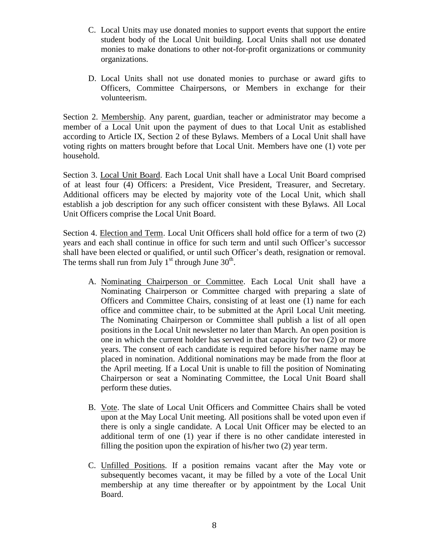- C. Local Units may use donated monies to support events that support the entire student body of the Local Unit building. Local Units shall not use donated monies to make donations to other not-for-profit organizations or community organizations.
- D. Local Units shall not use donated monies to purchase or award gifts to Officers, Committee Chairpersons, or Members in exchange for their volunteerism.

Section 2. Membership. Any parent, guardian, teacher or administrator may become a member of a Local Unit upon the payment of dues to that Local Unit as established according to Article IX, Section 2 of these Bylaws. Members of a Local Unit shall have voting rights on matters brought before that Local Unit. Members have one (1) vote per household.

Section 3. Local Unit Board. Each Local Unit shall have a Local Unit Board comprised of at least four (4) Officers: a President, Vice President, Treasurer, and Secretary. Additional officers may be elected by majority vote of the Local Unit, which shall establish a job description for any such officer consistent with these Bylaws. All Local Unit Officers comprise the Local Unit Board.

Section 4. Election and Term. Local Unit Officers shall hold office for a term of two (2) years and each shall continue in office for such term and until such Officer's successor shall have been elected or qualified, or until such Officer's death, resignation or removal. The terms shall run from July  $1<sup>st</sup>$  through June  $30<sup>th</sup>$ .

- A. Nominating Chairperson or Committee. Each Local Unit shall have a Nominating Chairperson or Committee charged with preparing a slate of Officers and Committee Chairs, consisting of at least one (1) name for each office and committee chair, to be submitted at the April Local Unit meeting. The Nominating Chairperson or Committee shall publish a list of all open positions in the Local Unit newsletter no later than March. An open position is one in which the current holder has served in that capacity for two (2) or more years. The consent of each candidate is required before his/her name may be placed in nomination. Additional nominations may be made from the floor at the April meeting. If a Local Unit is unable to fill the position of Nominating Chairperson or seat a Nominating Committee, the Local Unit Board shall perform these duties.
- B. Vote. The slate of Local Unit Officers and Committee Chairs shall be voted upon at the May Local Unit meeting. All positions shall be voted upon even if there is only a single candidate. A Local Unit Officer may be elected to an additional term of one (1) year if there is no other candidate interested in filling the position upon the expiration of his/her two (2) year term.
- C. Unfilled Positions. If a position remains vacant after the May vote or subsequently becomes vacant, it may be filled by a vote of the Local Unit membership at any time thereafter or by appointment by the Local Unit Board.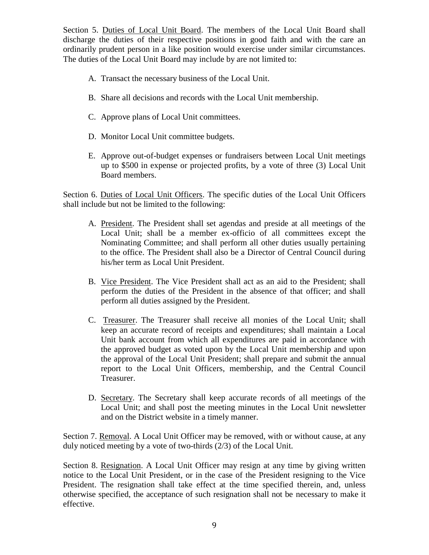Section 5. Duties of Local Unit Board. The members of the Local Unit Board shall discharge the duties of their respective positions in good faith and with the care an ordinarily prudent person in a like position would exercise under similar circumstances. The duties of the Local Unit Board may include by are not limited to:

- A. Transact the necessary business of the Local Unit.
- B. Share all decisions and records with the Local Unit membership.
- C. Approve plans of Local Unit committees.
- D. Monitor Local Unit committee budgets.
- E. Approve out-of-budget expenses or fundraisers between Local Unit meetings up to \$500 in expense or projected profits, by a vote of three (3) Local Unit Board members.

Section 6. Duties of Local Unit Officers. The specific duties of the Local Unit Officers shall include but not be limited to the following:

- A. President. The President shall set agendas and preside at all meetings of the Local Unit; shall be a member ex-officio of all committees except the Nominating Committee; and shall perform all other duties usually pertaining to the office. The President shall also be a Director of Central Council during his/her term as Local Unit President.
- B. Vice President. The Vice President shall act as an aid to the President; shall perform the duties of the President in the absence of that officer; and shall perform all duties assigned by the President.
- C. Treasurer. The Treasurer shall receive all monies of the Local Unit; shall keep an accurate record of receipts and expenditures; shall maintain a Local Unit bank account from which all expenditures are paid in accordance with the approved budget as voted upon by the Local Unit membership and upon the approval of the Local Unit President; shall prepare and submit the annual report to the Local Unit Officers, membership, and the Central Council Treasurer.
- D. Secretary. The Secretary shall keep accurate records of all meetings of the Local Unit; and shall post the meeting minutes in the Local Unit newsletter and on the District website in a timely manner.

Section 7. Removal. A Local Unit Officer may be removed, with or without cause, at any duly noticed meeting by a vote of two-thirds (2/3) of the Local Unit.

Section 8. Resignation. A Local Unit Officer may resign at any time by giving written notice to the Local Unit President, or in the case of the President resigning to the Vice President. The resignation shall take effect at the time specified therein, and, unless otherwise specified, the acceptance of such resignation shall not be necessary to make it effective.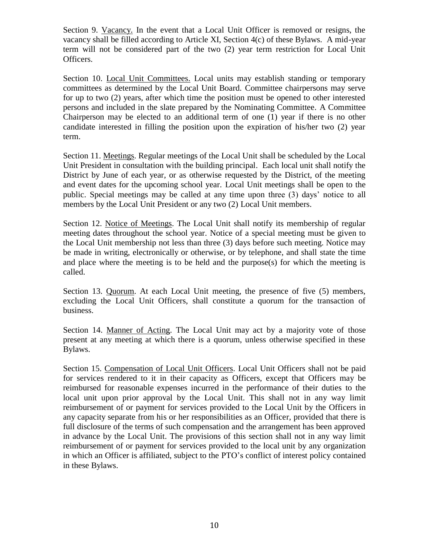Section 9. Vacancy. In the event that a Local Unit Officer is removed or resigns, the vacancy shall be filled according to Article XI, Section 4(c) of these Bylaws. A mid-year term will not be considered part of the two (2) year term restriction for Local Unit Officers.

Section 10. Local Unit Committees. Local units may establish standing or temporary committees as determined by the Local Unit Board. Committee chairpersons may serve for up to two (2) years, after which time the position must be opened to other interested persons and included in the slate prepared by the Nominating Committee. A Committee Chairperson may be elected to an additional term of one (1) year if there is no other candidate interested in filling the position upon the expiration of his/her two (2) year term.

Section 11. Meetings. Regular meetings of the Local Unit shall be scheduled by the Local Unit President in consultation with the building principal. Each local unit shall notify the District by June of each year, or as otherwise requested by the District, of the meeting and event dates for the upcoming school year. Local Unit meetings shall be open to the public. Special meetings may be called at any time upon three (3) days' notice to all members by the Local Unit President or any two (2) Local Unit members.

Section 12. Notice of Meetings. The Local Unit shall notify its membership of regular meeting dates throughout the school year. Notice of a special meeting must be given to the Local Unit membership not less than three (3) days before such meeting. Notice may be made in writing, electronically or otherwise, or by telephone, and shall state the time and place where the meeting is to be held and the purpose(s) for which the meeting is called.

Section 13. Quorum. At each Local Unit meeting, the presence of five (5) members, excluding the Local Unit Officers, shall constitute a quorum for the transaction of business.

Section 14. Manner of Acting. The Local Unit may act by a majority vote of those present at any meeting at which there is a quorum, unless otherwise specified in these Bylaws.

Section 15. Compensation of Local Unit Officers. Local Unit Officers shall not be paid for services rendered to it in their capacity as Officers, except that Officers may be reimbursed for reasonable expenses incurred in the performance of their duties to the local unit upon prior approval by the Local Unit. This shall not in any way limit reimbursement of or payment for services provided to the Local Unit by the Officers in any capacity separate from his or her responsibilities as an Officer, provided that there is full disclosure of the terms of such compensation and the arrangement has been approved in advance by the Local Unit. The provisions of this section shall not in any way limit reimbursement of or payment for services provided to the local unit by any organization in which an Officer is affiliated, subject to the PTO's conflict of interest policy contained in these Bylaws.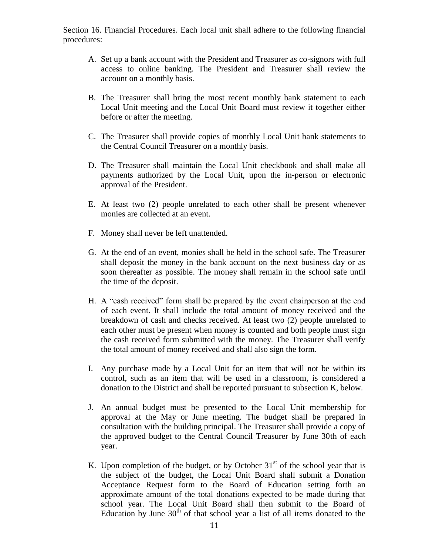Section 16. Financial Procedures. Each local unit shall adhere to the following financial procedures:

- A. Set up a bank account with the President and Treasurer as co-signors with full access to online banking. The President and Treasurer shall review the account on a monthly basis.
- B. The Treasurer shall bring the most recent monthly bank statement to each Local Unit meeting and the Local Unit Board must review it together either before or after the meeting.
- C. The Treasurer shall provide copies of monthly Local Unit bank statements to the Central Council Treasurer on a monthly basis.
- D. The Treasurer shall maintain the Local Unit checkbook and shall make all payments authorized by the Local Unit, upon the in-person or electronic approval of the President.
- E. At least two (2) people unrelated to each other shall be present whenever monies are collected at an event.
- F. Money shall never be left unattended.
- G. At the end of an event, monies shall be held in the school safe. The Treasurer shall deposit the money in the bank account on the next business day or as soon thereafter as possible. The money shall remain in the school safe until the time of the deposit.
- H. A "cash received" form shall be prepared by the event chairperson at the end of each event. It shall include the total amount of money received and the breakdown of cash and checks received. At least two (2) people unrelated to each other must be present when money is counted and both people must sign the cash received form submitted with the money. The Treasurer shall verify the total amount of money received and shall also sign the form.
- I. Any purchase made by a Local Unit for an item that will not be within its control, such as an item that will be used in a classroom, is considered a donation to the District and shall be reported pursuant to subsection K, below.
- J. An annual budget must be presented to the Local Unit membership for approval at the May or June meeting. The budget shall be prepared in consultation with the building principal. The Treasurer shall provide a copy of the approved budget to the Central Council Treasurer by June 30th of each year.
- K. Upon completion of the budget, or by October  $31<sup>st</sup>$  of the school year that is the subject of the budget, the Local Unit Board shall submit a Donation Acceptance Request form to the Board of Education setting forth an approximate amount of the total donations expected to be made during that school year. The Local Unit Board shall then submit to the Board of Education by June  $30<sup>th</sup>$  of that school year a list of all items donated to the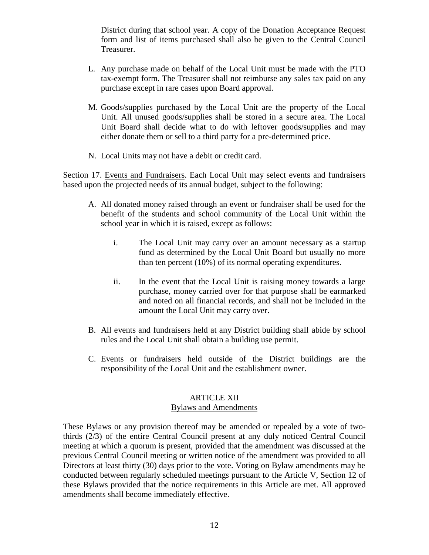District during that school year. A copy of the Donation Acceptance Request form and list of items purchased shall also be given to the Central Council Treasurer.

- L. Any purchase made on behalf of the Local Unit must be made with the PTO tax-exempt form. The Treasurer shall not reimburse any sales tax paid on any purchase except in rare cases upon Board approval.
- M. Goods/supplies purchased by the Local Unit are the property of the Local Unit. All unused goods/supplies shall be stored in a secure area. The Local Unit Board shall decide what to do with leftover goods/supplies and may either donate them or sell to a third party for a pre-determined price.
- N. Local Units may not have a debit or credit card.

Section 17. Events and Fundraisers. Each Local Unit may select events and fundraisers based upon the projected needs of its annual budget, subject to the following:

- A. All donated money raised through an event or fundraiser shall be used for the benefit of the students and school community of the Local Unit within the school year in which it is raised, except as follows:
	- i. The Local Unit may carry over an amount necessary as a startup fund as determined by the Local Unit Board but usually no more than ten percent (10%) of its normal operating expenditures.
	- ii. In the event that the Local Unit is raising money towards a large purchase, money carried over for that purpose shall be earmarked and noted on all financial records, and shall not be included in the amount the Local Unit may carry over.
- B. All events and fundraisers held at any District building shall abide by school rules and the Local Unit shall obtain a building use permit.
- C. Events or fundraisers held outside of the District buildings are the responsibility of the Local Unit and the establishment owner.

#### ARTICLE XII Bylaws and Amendments

These Bylaws or any provision thereof may be amended or repealed by a vote of twothirds (2/3) of the entire Central Council present at any duly noticed Central Council meeting at which a quorum is present, provided that the amendment was discussed at the previous Central Council meeting or written notice of the amendment was provided to all Directors at least thirty (30) days prior to the vote. Voting on Bylaw amendments may be conducted between regularly scheduled meetings pursuant to the Article V, Section 12 of these Bylaws provided that the notice requirements in this Article are met. All approved amendments shall become immediately effective.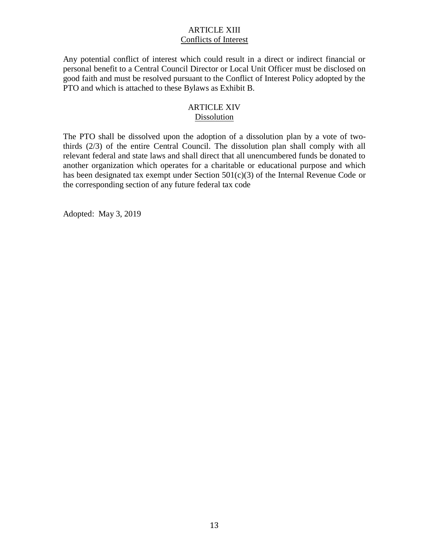## ARTICLE XIII Conflicts of Interest

Any potential conflict of interest which could result in a direct or indirect financial or personal benefit to a Central Council Director or Local Unit Officer must be disclosed on good faith and must be resolved pursuant to the Conflict of Interest Policy adopted by the PTO and which is attached to these Bylaws as Exhibit B.

#### ARTICLE XIV Dissolution

The PTO shall be dissolved upon the adoption of a dissolution plan by a vote of twothirds (2/3) of the entire Central Council. The dissolution plan shall comply with all relevant federal and state laws and shall direct that all unencumbered funds be donated to another organization which operates for a charitable or educational purpose and which has been designated tax exempt under Section 501(c)(3) of the Internal Revenue Code or the corresponding section of any future federal tax code

Adopted: May 3, 2019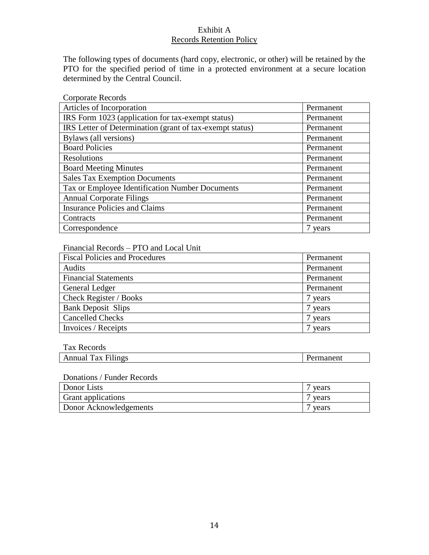## Exhibit A Records Retention Policy

The following types of documents (hard copy, electronic, or other) will be retained by the PTO for the specified period of time in a protected environment at a secure location determined by the Central Council.

| <b>Corporate Records</b>                                 |           |
|----------------------------------------------------------|-----------|
| Articles of Incorporation                                | Permanent |
| IRS Form 1023 (application for tax-exempt status)        | Permanent |
| IRS Letter of Determination (grant of tax-exempt status) | Permanent |
| Bylaws (all versions)                                    | Permanent |
| <b>Board Policies</b>                                    | Permanent |
| <b>Resolutions</b>                                       | Permanent |
| <b>Board Meeting Minutes</b>                             | Permanent |
| <b>Sales Tax Exemption Documents</b>                     | Permanent |
| Tax or Employee Identification Number Documents          | Permanent |
| <b>Annual Corporate Filings</b>                          | Permanent |
| <b>Insurance Policies and Claims</b>                     | Permanent |
| Contracts                                                | Permanent |
| Correspondence                                           | 7 years   |

## Financial Records – PTO and Local Unit

| <b>Fiscal Policies and Procedures</b> | Permanent |
|---------------------------------------|-----------|
| Audits                                | Permanent |
| <b>Financial Statements</b>           | Permanent |
| General Ledger                        | Permanent |
| Check Register / Books                | years     |
| <b>Bank Deposit Slips</b>             | years     |
| <b>Cancelled Checks</b>               | years     |
| Invoices / Receipts                   | vears     |

#### Tax Records

| ----------------                        |                       |
|-----------------------------------------|-----------------------|
| --<br>n ac<br>$\mathbf{a}$<br>سالة السد | ≒Πι<br>-------------- |
|                                         |                       |

#### Donations / Funder Records

| Donor Lists               | vears |
|---------------------------|-------|
| <b>Grant</b> applications | vears |
| Donor Acknowledgements    | vears |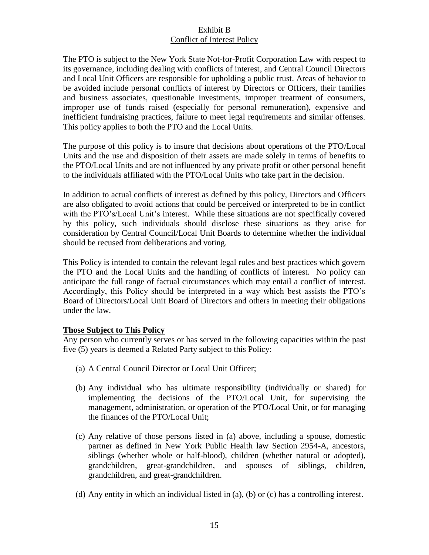## Exhibit B Conflict of Interest Policy

The PTO is subject to the New York State Not-for-Profit Corporation Law with respect to its governance, including dealing with conflicts of interest, and Central Council Directors and Local Unit Officers are responsible for upholding a public trust. Areas of behavior to be avoided include personal conflicts of interest by Directors or Officers, their families and business associates, questionable investments, improper treatment of consumers, improper use of funds raised (especially for personal remuneration), expensive and inefficient fundraising practices, failure to meet legal requirements and similar offenses. This policy applies to both the PTO and the Local Units.

The purpose of this policy is to insure that decisions about operations of the PTO/Local Units and the use and disposition of their assets are made solely in terms of benefits to the PTO/Local Units and are not influenced by any private profit or other personal benefit to the individuals affiliated with the PTO/Local Units who take part in the decision.

In addition to actual conflicts of interest as defined by this policy, Directors and Officers are also obligated to avoid actions that could be perceived or interpreted to be in conflict with the PTO's/Local Unit's interest. While these situations are not specifically covered by this policy, such individuals should disclose these situations as they arise for consideration by Central Council/Local Unit Boards to determine whether the individual should be recused from deliberations and voting.

This Policy is intended to contain the relevant legal rules and best practices which govern the PTO and the Local Units and the handling of conflicts of interest. No policy can anticipate the full range of factual circumstances which may entail a conflict of interest. Accordingly, this Policy should be interpreted in a way which best assists the PTO's Board of Directors/Local Unit Board of Directors and others in meeting their obligations under the law.

## **Those Subject to This Policy**

Any person who currently serves or has served in the following capacities within the past five (5) years is deemed a Related Party subject to this Policy:

- (a) A Central Council Director or Local Unit Officer;
- (b) Any individual who has ultimate responsibility (individually or shared) for implementing the decisions of the PTO/Local Unit, for supervising the management, administration, or operation of the PTO/Local Unit, or for managing the finances of the PTO/Local Unit;
- (c) Any relative of those persons listed in (a) above, including a spouse, domestic partner as defined in New York Public Health law Section 2954-A, ancestors, siblings (whether whole or half-blood), children (whether natural or adopted), grandchildren, great-grandchildren, and spouses of siblings, children, grandchildren, and great-grandchildren.
- (d) Any entity in which an individual listed in (a), (b) or (c) has a controlling interest.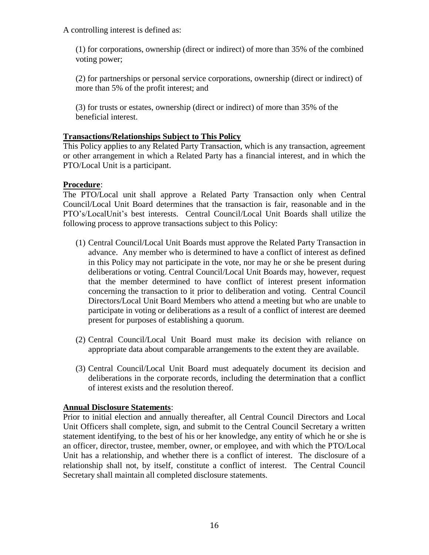A controlling interest is defined as:

(1) for corporations, ownership (direct or indirect) of more than 35% of the combined voting power;

(2) for partnerships or personal service corporations, ownership (direct or indirect) of more than 5% of the profit interest; and

(3) for trusts or estates, ownership (direct or indirect) of more than 35% of the beneficial interest.

#### **Transactions/Relationships Subject to This Policy**

This Policy applies to any Related Party Transaction, which is any transaction, agreement or other arrangement in which a Related Party has a financial interest, and in which the PTO/Local Unit is a participant.

## **Procedure**:

The PTO/Local unit shall approve a Related Party Transaction only when Central Council/Local Unit Board determines that the transaction is fair, reasonable and in the PTO's/LocalUnit's best interests. Central Council/Local Unit Boards shall utilize the following process to approve transactions subject to this Policy:

- (1) Central Council/Local Unit Boards must approve the Related Party Transaction in advance. Any member who is determined to have a conflict of interest as defined in this Policy may not participate in the vote, nor may he or she be present during deliberations or voting. Central Council/Local Unit Boards may, however, request that the member determined to have conflict of interest present information concerning the transaction to it prior to deliberation and voting. Central Council Directors/Local Unit Board Members who attend a meeting but who are unable to participate in voting or deliberations as a result of a conflict of interest are deemed present for purposes of establishing a quorum.
- (2) Central Council/Local Unit Board must make its decision with reliance on appropriate data about comparable arrangements to the extent they are available.
- (3) Central Council/Local Unit Board must adequately document its decision and deliberations in the corporate records, including the determination that a conflict of interest exists and the resolution thereof.

## **Annual Disclosure Statements**:

Prior to initial election and annually thereafter, all Central Council Directors and Local Unit Officers shall complete, sign, and submit to the Central Council Secretary a written statement identifying, to the best of his or her knowledge, any entity of which he or she is an officer, director, trustee, member, owner, or employee, and with which the PTO/Local Unit has a relationship, and whether there is a conflict of interest. The disclosure of a relationship shall not, by itself, constitute a conflict of interest. The Central Council Secretary shall maintain all completed disclosure statements.